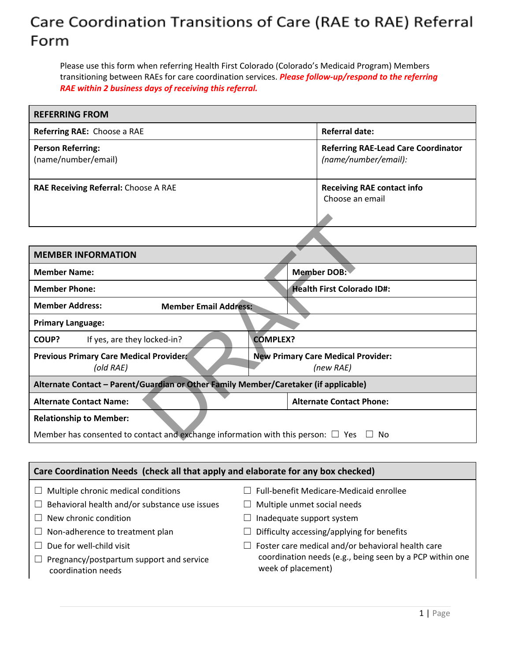## Care Coordination Transitions of Care (RAE to RAE) Referral Form

Please use this form when referring Health First Colorado (Colorado's Medicaid Program) Members transitioning between RAEs for care coordination services. *Please follow-up/respond to the referring RAE within 2 business days of receiving this referral.*

| <b>REFERRING FROM</b>                                                                                                                |                                                                    |  |
|--------------------------------------------------------------------------------------------------------------------------------------|--------------------------------------------------------------------|--|
| Referring RAE: Choose a RAE                                                                                                          | <b>Referral date:</b>                                              |  |
| <b>Person Referring:</b><br>(name/number/email)                                                                                      | <b>Referring RAE-Lead Care Coordinator</b><br>(name/number/email): |  |
| RAE Receiving Referral: Choose A RAE                                                                                                 | <b>Receiving RAE contact info</b><br>Choose an email               |  |
|                                                                                                                                      |                                                                    |  |
| <b>MEMBER INFORMATION</b>                                                                                                            |                                                                    |  |
| <b>Member Name:</b>                                                                                                                  | <b>Member DOB:</b>                                                 |  |
| <b>Member Phone:</b>                                                                                                                 | <b>Health First Colorado ID#:</b>                                  |  |
| <b>Member Address:</b><br><b>Member Email Address:</b>                                                                               |                                                                    |  |
| <b>Primary Language:</b>                                                                                                             |                                                                    |  |
| COUP?<br>If yes, are they locked-in?                                                                                                 | <b>COMPLEX?</b>                                                    |  |
| <b>Previous Primary Care Medical Provider:</b><br>(old RAE)                                                                          | <b>New Primary Care Medical Provider:</b><br>(new RAE)             |  |
| Alternate Contact - Parent/Guardian or Other Family Member/Caretaker (if applicable)                                                 |                                                                    |  |
| <b>Alternate Contact Name:</b>                                                                                                       | <b>Alternate Contact Phone:</b>                                    |  |
| <b>Relationship to Member:</b><br>Member has consented to contact and exchange information with this person: $\Box$ Yes $\Box$<br>No |                                                                    |  |

## **Care Coordination Needs (check all that apply and elaborate for any box checked)**  $\Box$  Multiple chronic medical conditions  $\Box$  Behavioral health and/or substance use issues  $\Box$  New chronic condition  $\Box$  Non-adherence to treatment plan  $\Box$  Due for well-child visit ☐ Pregnancy/postpartum support and service  $\Box$  Full-benefit Medicare-Medicaid enrollee  $\Box$  Multiple unmet social needs  $\Box$  Inadequate support system  $\Box$  Difficulty accessing/applying for benefits  $\Box$  Foster care medical and/or behavioral health care coordination needs (e.g., being seen by a PCP within one week of placement)

coordination needs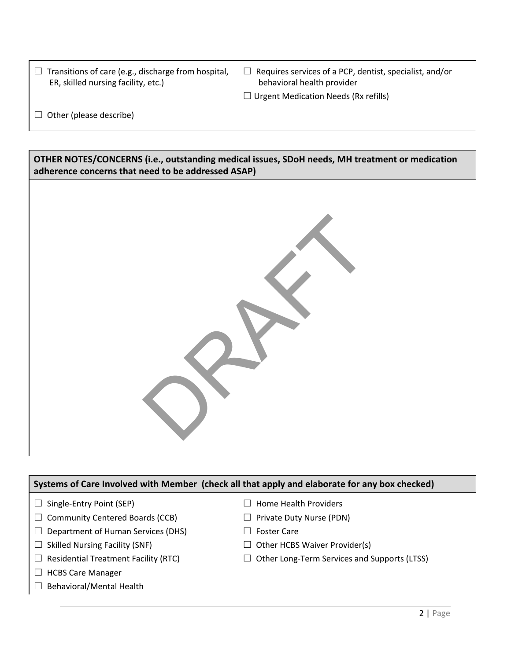| $\Box$ Transitions of care (e.g., discharge from hospital, |
|------------------------------------------------------------|
| ER, skilled nursing facility, etc.)                        |

- $\Box$  Requires services of a PCP, dentist, specialist, and/or behavioral health provider
- $\Box$  Urgent Medication Needs (Rx refills)

 $\Box$  Other (please describe)

**OTHER NOTES/CONCERNS (i.e., outstanding medical issues, SDoH needs, MH treatment or medication adherence concerns that need to be addressed ASAP)**



## **Systems of Care Involved with Member (check all that apply and elaborate for any box checked)**

- □ Single-Entry Point (SEP)
- $\Box$  Community Centered Boards (CCB)
- $\Box$  Department of Human Services (DHS)
- $\Box$  Skilled Nursing Facility (SNF)
- $\Box$  Residential Treatment Facility (RTC)
- ☐ HCBS Care Manager
- □ Behavioral/Mental Health
- □ Home Health Providers
- ☐ Private Duty Nurse (PDN)
- □ Foster Care
- $\Box$  Other HCBS Waiver Provider(s)
- ☐ Other Long-Term Services and Supports (LTSS)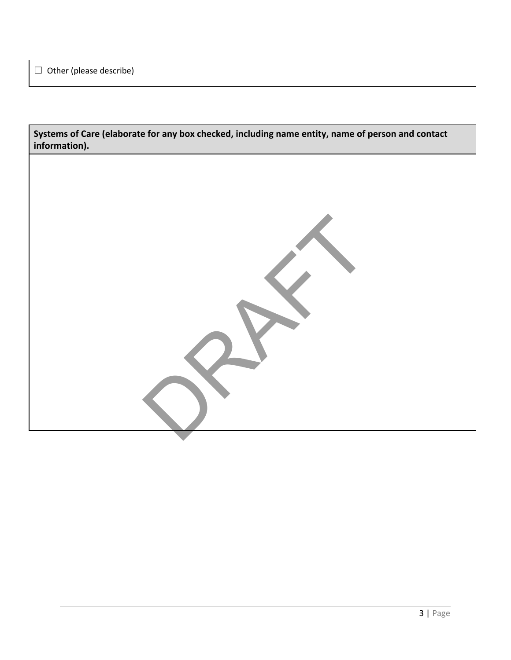**Systems of Care (elaborate for any box checked, including name entity, name of person and contact information).**